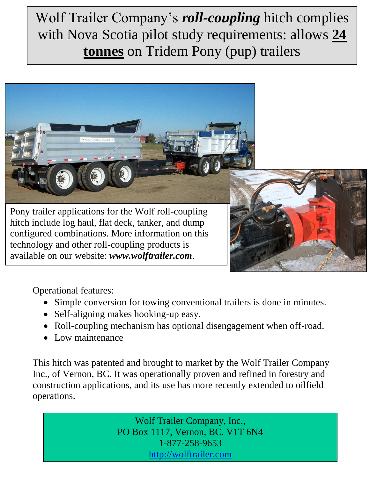## Wolf Trailer Company's *roll-coupling* hitch complies with Nova Scotia pilot study requirements: allows **24 tonnes** on Tridem Pony (pup) trailers





Operational features:

- Simple conversion for towing conventional trailers is done in minutes.
- Self-aligning makes hooking-up easy.
- Roll-coupling mechanism has optional disengagement when off-road.
- Low maintenance

This hitch was patented and brought to market by the Wolf Trailer Company Inc., of Vernon, BC. It was operationally proven and refined in forestry and construction applications, and its use has more recently extended to oilfield operations.

> Wolf Trailer Company, Inc., PO Box 1117, Vernon, BC, V1T 6N4 1-877-258-9653 [http://wolftrailer.com](http://wolftrailer.com/)